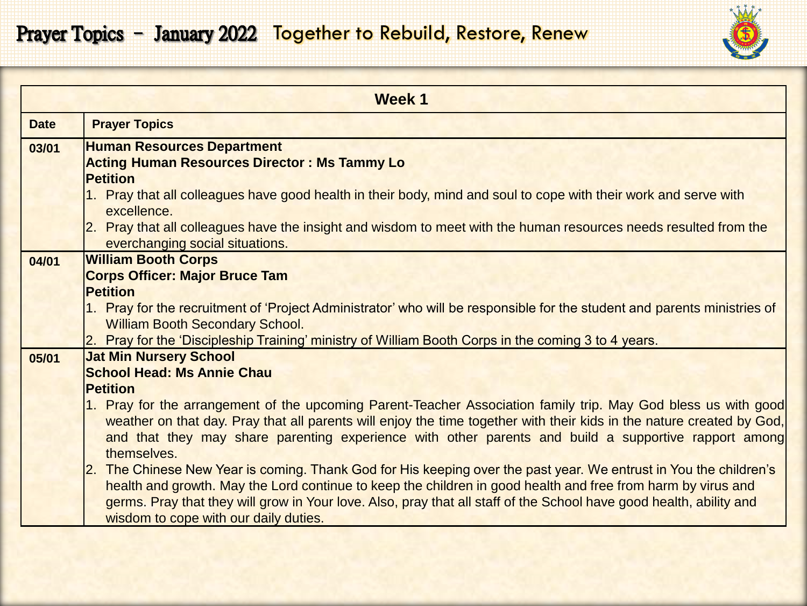

|             | <b>Week 1</b>                                                                                                                                                                                                                           |
|-------------|-----------------------------------------------------------------------------------------------------------------------------------------------------------------------------------------------------------------------------------------|
| <b>Date</b> | <b>Prayer Topics</b>                                                                                                                                                                                                                    |
| 03/01       | <b>Human Resources Department</b>                                                                                                                                                                                                       |
|             | <b>Acting Human Resources Director: Ms Tammy Lo</b>                                                                                                                                                                                     |
|             | <b>Petition</b>                                                                                                                                                                                                                         |
|             | 1. Pray that all colleagues have good health in their body, mind and soul to cope with their work and serve with                                                                                                                        |
|             | excellence.<br>2. Pray that all colleagues have the insight and wisdom to meet with the human resources needs resulted from the                                                                                                         |
|             | everchanging social situations.                                                                                                                                                                                                         |
| 04/01       | <b>William Booth Corps</b>                                                                                                                                                                                                              |
|             | <b>Corps Officer: Major Bruce Tam</b>                                                                                                                                                                                                   |
|             | <b>Petition</b>                                                                                                                                                                                                                         |
|             | 1. Pray for the recruitment of 'Project Administrator' who will be responsible for the student and parents ministries of                                                                                                                |
|             | <b>William Booth Secondary School.</b>                                                                                                                                                                                                  |
|             | 2. Pray for the 'Discipleship Training' ministry of William Booth Corps in the coming 3 to 4 years.                                                                                                                                     |
| 05/01       | <b>Jat Min Nursery School</b>                                                                                                                                                                                                           |
|             | <b>School Head: Ms Annie Chau</b>                                                                                                                                                                                                       |
|             | <b>Petition</b>                                                                                                                                                                                                                         |
|             | 1. Pray for the arrangement of the upcoming Parent-Teacher Association family trip. May God bless us with good<br>weather on that day. Pray that all parents will enjoy the time together with their kids in the nature created by God, |
|             | and that they may share parenting experience with other parents and build a supportive rapport among                                                                                                                                    |
|             | themselves.                                                                                                                                                                                                                             |
|             | The Chinese New Year is coming. Thank God for His keeping over the past year. We entrust in You the children's<br> 2.                                                                                                                   |
|             | health and growth. May the Lord continue to keep the children in good health and free from harm by virus and                                                                                                                            |
|             | germs. Pray that they will grow in Your love. Also, pray that all staff of the School have good health, ability and                                                                                                                     |
|             | wisdom to cope with our daily duties.                                                                                                                                                                                                   |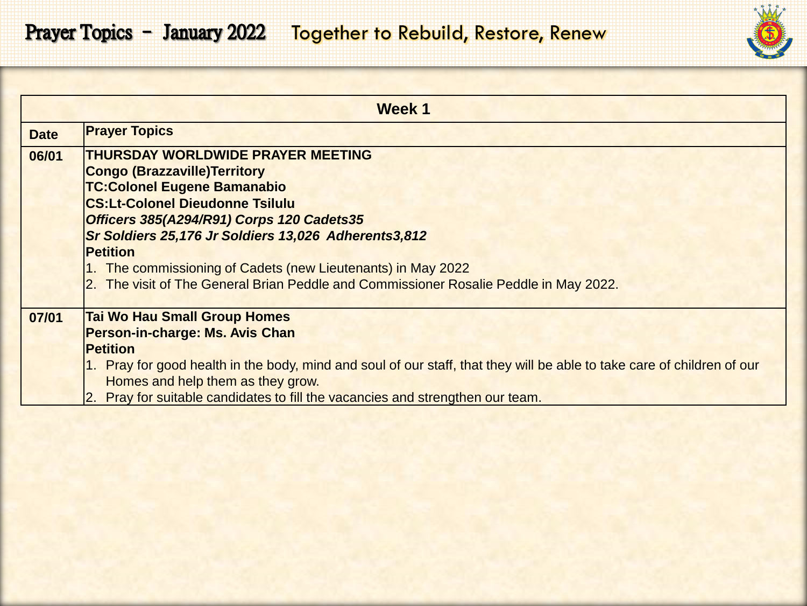|             | <b>Week 1</b>                                                                                                           |
|-------------|-------------------------------------------------------------------------------------------------------------------------|
| <b>Date</b> | <b>Prayer Topics</b>                                                                                                    |
| 06/01       | <b>THURSDAY WORLDWIDE PRAYER MEETING</b>                                                                                |
|             | <b>Congo (Brazzaville) Territory</b>                                                                                    |
|             | <b>TC:Colonel Eugene Bamanabio</b>                                                                                      |
|             | <b>CS:Lt-Colonel Dieudonne Tsilulu</b>                                                                                  |
|             | Officers 385(A294/R91) Corps 120 Cadets35                                                                               |
|             | Sr Soldiers 25,176 Jr Soldiers 13,026 Adherents3,812                                                                    |
|             | <b>Petition</b>                                                                                                         |
|             | 1. The commissioning of Cadets (new Lieutenants) in May 2022                                                            |
|             | 2. The visit of The General Brian Peddle and Commissioner Rosalie Peddle in May 2022.                                   |
|             |                                                                                                                         |
| 07/01       | <b>Tai Wo Hau Small Group Homes</b>                                                                                     |
|             | <b>Person-in-charge: Ms. Avis Chan</b>                                                                                  |
|             | <b>Petition</b>                                                                                                         |
|             | 1. Pray for good health in the body, mind and soul of our staff, that they will be able to take care of children of our |
|             | Homes and help them as they grow.                                                                                       |
|             | Pray for suitable candidates to fill the vacancies and strengthen our team.                                             |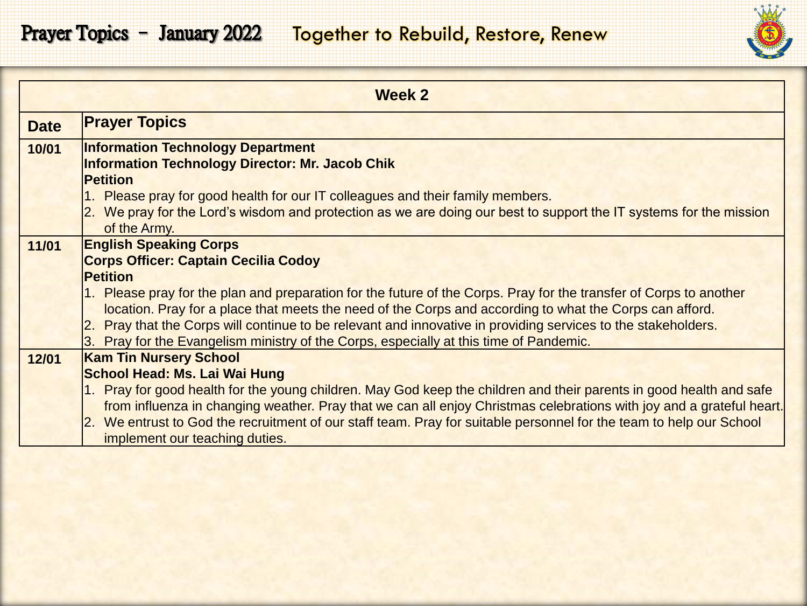## Prayer Topics - January 2022 Together to Rebuild, Restore, Renew



|             | <b>Week 2</b>                                                                                                        |
|-------------|----------------------------------------------------------------------------------------------------------------------|
| <b>Date</b> | <b>Prayer Topics</b>                                                                                                 |
| 10/01       | <b>Information Technology Department</b>                                                                             |
|             | Information Technology Director: Mr. Jacob Chik                                                                      |
|             | <b>Petition</b>                                                                                                      |
|             | 1. Please pray for good health for our IT colleagues and their family members.                                       |
|             | 2. We pray for the Lord's wisdom and protection as we are doing our best to support the IT systems for the mission   |
|             | of the Army.                                                                                                         |
| 11/01       | <b>English Speaking Corps</b>                                                                                        |
|             | <b>Corps Officer: Captain Cecilia Codoy</b>                                                                          |
|             | <b>Petition</b>                                                                                                      |
|             | 1. Please pray for the plan and preparation for the future of the Corps. Pray for the transfer of Corps to another   |
|             | location. Pray for a place that meets the need of the Corps and according to what the Corps can afford.              |
|             | 2. Pray that the Corps will continue to be relevant and innovative in providing services to the stakeholders.        |
|             | 3. Pray for the Evangelism ministry of the Corps, especially at this time of Pandemic.                               |
| 12/01       | <b>Kam Tin Nursery School</b>                                                                                        |
|             | <b>School Head: Ms. Lai Wai Hung</b>                                                                                 |
|             | 1. Pray for good health for the young children. May God keep the children and their parents in good health and safe  |
|             | from influenza in changing weather. Pray that we can all enjoy Christmas celebrations with joy and a grateful heart. |
|             | 2. We entrust to God the recruitment of our staff team. Pray for suitable personnel for the team to help our School  |
|             | implement our teaching duties.                                                                                       |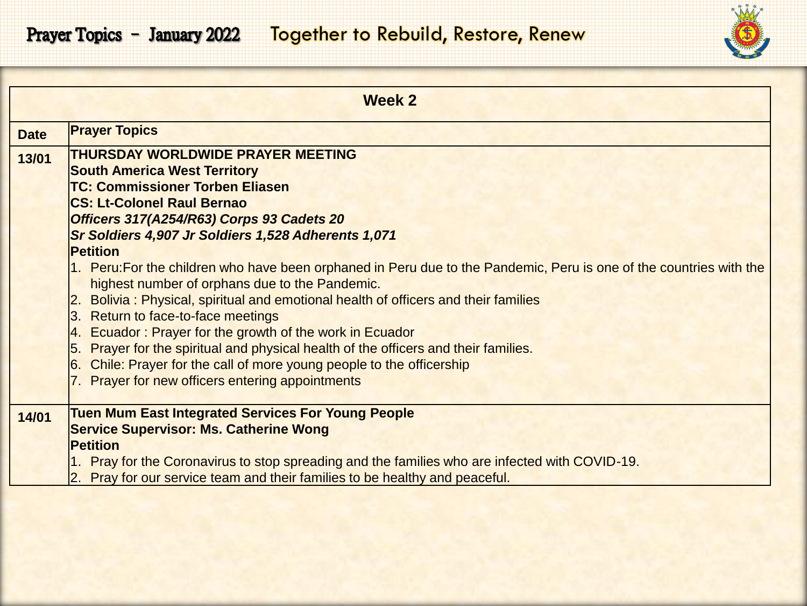

|             | <b>Week 2</b>                                                                                                                                                         |
|-------------|-----------------------------------------------------------------------------------------------------------------------------------------------------------------------|
| <b>Date</b> | <b>Prayer Topics</b>                                                                                                                                                  |
| 13/01       | THURSDAY WORLDWIDE PRAYER MEETING<br><b>South America West Territory</b>                                                                                              |
|             | <b>TC: Commissioner Torben Eliasen</b>                                                                                                                                |
|             | <b>CS: Lt-Colonel Raul Bernao</b>                                                                                                                                     |
|             | Officers 317(A254/R63) Corps 93 Cadets 20<br>Sr Soldiers 4,907 Jr Soldiers 1,528 Adherents 1,071                                                                      |
|             | <b>Petition</b>                                                                                                                                                       |
|             | 1. Peru: For the children who have been orphaned in Peru due to the Pandemic, Peru is one of the countries with the<br>highest number of orphans due to the Pandemic. |
|             | Bolivia: Physical, spiritual and emotional health of officers and their families                                                                                      |
|             | 3. Return to face-to-face meetings                                                                                                                                    |
|             | 4. Ecuador: Prayer for the growth of the work in Ecuador                                                                                                              |
|             | Prayer for the spiritual and physical health of the officers and their families.<br>15.<br>6. Chile: Prayer for the call of more young people to the officership      |
|             | 7. Prayer for new officers entering appointments                                                                                                                      |
|             |                                                                                                                                                                       |
| 14/01       | <b>Tuen Mum East Integrated Services For Young People</b>                                                                                                             |
|             | <b>Service Supervisor: Ms. Catherine Wong</b><br><b>Petition</b>                                                                                                      |
|             | 1. Pray for the Coronavirus to stop spreading and the families who are infected with COVID-19.                                                                        |
|             | 2. Pray for our service team and their families to be healthy and peaceful.                                                                                           |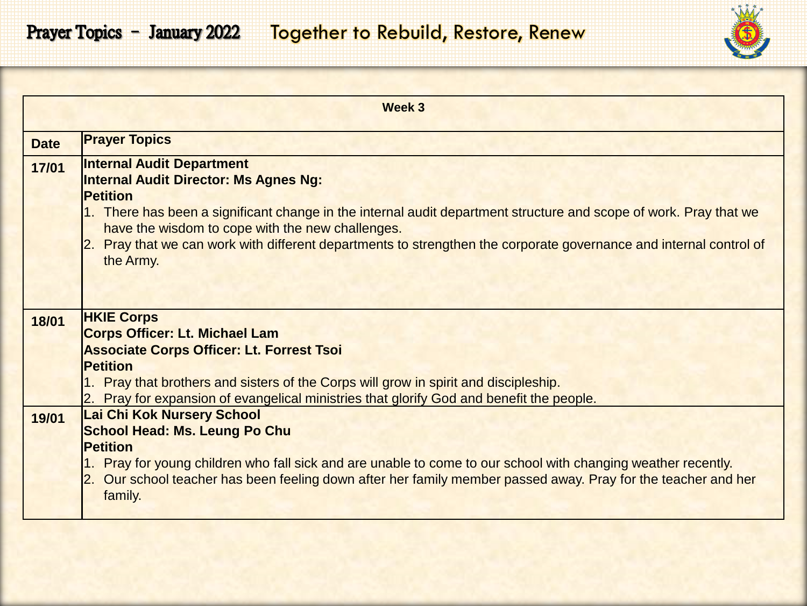|             | Week 3                                                                                                                                                                |
|-------------|-----------------------------------------------------------------------------------------------------------------------------------------------------------------------|
|             |                                                                                                                                                                       |
| <b>Date</b> | <b>Prayer Topics</b>                                                                                                                                                  |
| 17/01       | <b>Internal Audit Department</b>                                                                                                                                      |
|             | <b>Internal Audit Director: Ms Agnes Ng:</b>                                                                                                                          |
|             | <b>Petition</b>                                                                                                                                                       |
|             | 1. There has been a significant change in the internal audit department structure and scope of work. Pray that we<br>have the wisdom to cope with the new challenges. |
|             | Pray that we can work with different departments to strengthen the corporate governance and internal control of<br>2.<br>the Army.                                    |
|             |                                                                                                                                                                       |
|             |                                                                                                                                                                       |
|             |                                                                                                                                                                       |
| 18/01       | <b>HKIE Corps</b>                                                                                                                                                     |
|             | <b>Corps Officer: Lt. Michael Lam</b>                                                                                                                                 |
|             | <b>Associate Corps Officer: Lt. Forrest Tsoi</b><br><b>Petition</b>                                                                                                   |
|             |                                                                                                                                                                       |
|             | 1. Pray that brothers and sisters of the Corps will grow in spirit and discipleship.                                                                                  |
|             | 2. Pray for expansion of evangelical ministries that glorify God and benefit the people.                                                                              |
| 19/01       | Lai Chi Kok Nursery School                                                                                                                                            |
|             | <b>School Head: Ms. Leung Po Chu</b>                                                                                                                                  |
|             | <b>Petition</b>                                                                                                                                                       |
|             | 1. Pray for young children who fall sick and are unable to come to our school with changing weather recently.                                                         |
|             | 2. Our school teacher has been feeling down after her family member passed away. Pray for the teacher and her                                                         |
|             | family.                                                                                                                                                               |
|             |                                                                                                                                                                       |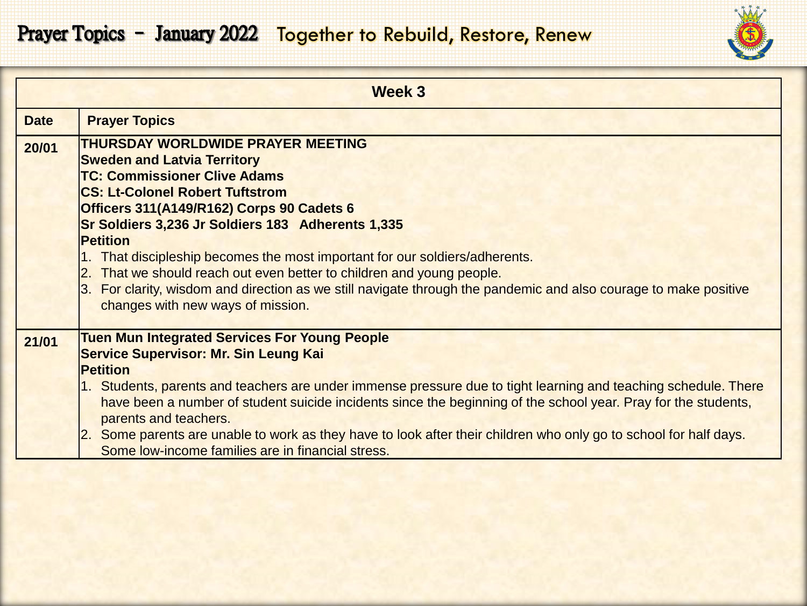## Prayer Topics - January 2022 Together to Rebuild, Restore, Renew



|             | Week 3                                                                                                                                                                                                                                                                                                                                                                                                                                                                                                                                                                                                |  |
|-------------|-------------------------------------------------------------------------------------------------------------------------------------------------------------------------------------------------------------------------------------------------------------------------------------------------------------------------------------------------------------------------------------------------------------------------------------------------------------------------------------------------------------------------------------------------------------------------------------------------------|--|
| <b>Date</b> | <b>Prayer Topics</b>                                                                                                                                                                                                                                                                                                                                                                                                                                                                                                                                                                                  |  |
| 20/01       | <b>THURSDAY WORLDWIDE PRAYER MEETING</b><br><b>Sweden and Latvia Territory</b><br><b>TC: Commissioner Clive Adams</b><br><b>CS: Lt-Colonel Robert Tuftstrom</b><br>Officers 311(A149/R162) Corps 90 Cadets 6<br>Sr Soldiers 3,236 Jr Soldiers 183 Adherents 1,335<br><b>Petition</b><br>1. That discipleship becomes the most important for our soldiers/adherents.<br>2. That we should reach out even better to children and young people.<br>3. For clarity, wisdom and direction as we still navigate through the pandemic and also courage to make positive<br>changes with new ways of mission. |  |
| 21/01       | <b>Tuen Mun Integrated Services For Young People</b><br><b>Service Supervisor: Mr. Sin Leung Kai</b><br><b>Petition</b><br>1. Students, parents and teachers are under immense pressure due to tight learning and teaching schedule. There<br>have been a number of student suicide incidents since the beginning of the school year. Pray for the students,<br>parents and teachers.<br>2. Some parents are unable to work as they have to look after their children who only go to school for half days.<br>Some low-income families are in financial stress.                                       |  |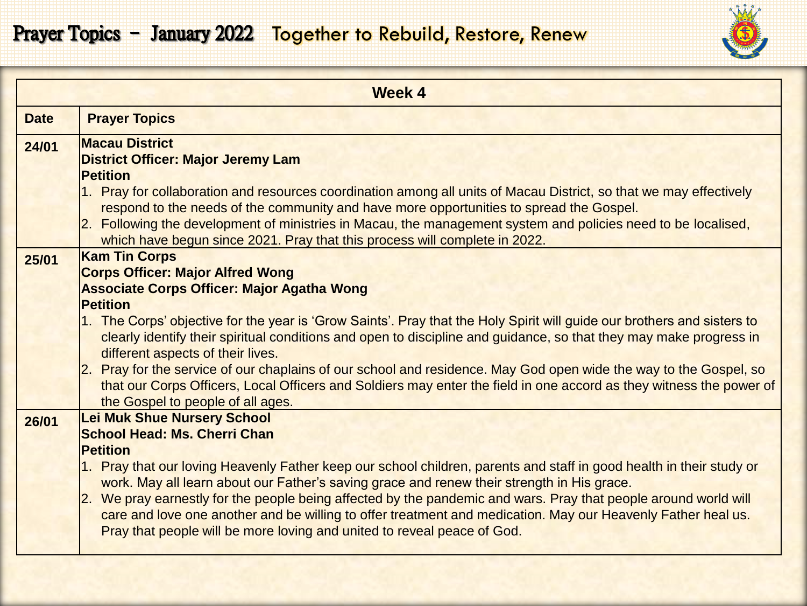## Prayer Topics - January 2022 Together to Rebuild, Restore, Renew



| <b>Week 4</b> |                                                                                                                                                                                                                                                                                    |
|---------------|------------------------------------------------------------------------------------------------------------------------------------------------------------------------------------------------------------------------------------------------------------------------------------|
| <b>Date</b>   | <b>Prayer Topics</b>                                                                                                                                                                                                                                                               |
| 24/01         | <b>Macau District</b><br><b>District Officer: Major Jeremy Lam</b>                                                                                                                                                                                                                 |
|               | <b>Petition</b>                                                                                                                                                                                                                                                                    |
|               | 1. Pray for collaboration and resources coordination among all units of Macau District, so that we may effectively                                                                                                                                                                 |
|               | respond to the needs of the community and have more opportunities to spread the Gospel.                                                                                                                                                                                            |
|               | 2. Following the development of ministries in Macau, the management system and policies need to be localised,                                                                                                                                                                      |
|               | which have begun since 2021. Pray that this process will complete in 2022.                                                                                                                                                                                                         |
| 25/01         | <b>Kam Tin Corps</b>                                                                                                                                                                                                                                                               |
|               | <b>Corps Officer: Major Alfred Wong</b>                                                                                                                                                                                                                                            |
|               | <b>Associate Corps Officer: Major Agatha Wong</b>                                                                                                                                                                                                                                  |
|               | <b>Petition</b>                                                                                                                                                                                                                                                                    |
|               | 1. The Corps' objective for the year is 'Grow Saints'. Pray that the Holy Spirit will guide our brothers and sisters to<br>clearly identify their spiritual conditions and open to discipline and guidance, so that they may make progress in<br>different aspects of their lives. |
|               | 2. Pray for the service of our chaplains of our school and residence. May God open wide the way to the Gospel, so<br>that our Corps Officers, Local Officers and Soldiers may enter the field in one accord as they witness the power of<br>the Gospel to people of all ages.      |
| 26/01         | <b>Lei Muk Shue Nursery School</b>                                                                                                                                                                                                                                                 |
|               | <b>School Head: Ms. Cherri Chan</b>                                                                                                                                                                                                                                                |
|               | <b>Petition</b>                                                                                                                                                                                                                                                                    |
|               | 1. Pray that our loving Heavenly Father keep our school children, parents and staff in good health in their study or                                                                                                                                                               |
|               | work. May all learn about our Father's saving grace and renew their strength in His grace.                                                                                                                                                                                         |
|               | 2. We pray earnestly for the people being affected by the pandemic and wars. Pray that people around world will                                                                                                                                                                    |
|               | care and love one another and be willing to offer treatment and medication. May our Heavenly Father heal us.                                                                                                                                                                       |
|               | Pray that people will be more loving and united to reveal peace of God.                                                                                                                                                                                                            |
|               |                                                                                                                                                                                                                                                                                    |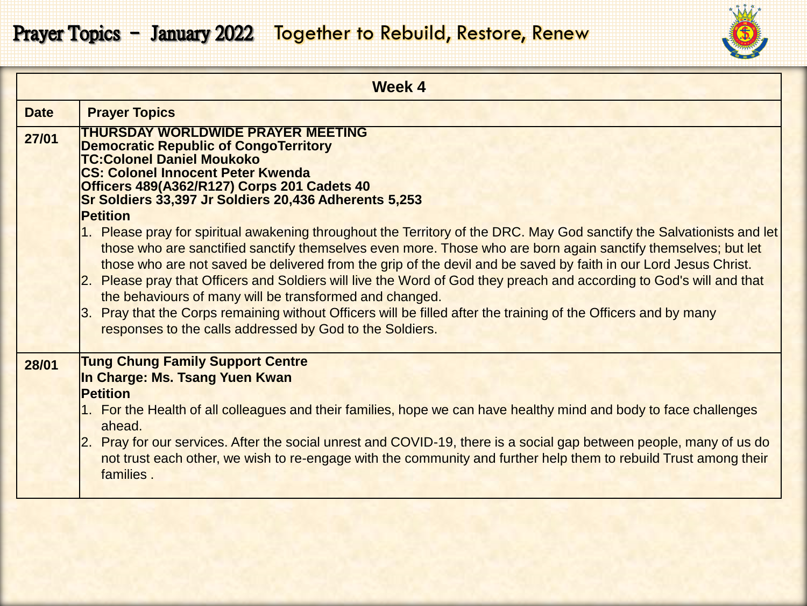

|             | <b>Week 4</b>                                                                                                                                                                                                                                                                                                                                                                                                                                                                                                                                                                                                                                                                                                                |  |
|-------------|------------------------------------------------------------------------------------------------------------------------------------------------------------------------------------------------------------------------------------------------------------------------------------------------------------------------------------------------------------------------------------------------------------------------------------------------------------------------------------------------------------------------------------------------------------------------------------------------------------------------------------------------------------------------------------------------------------------------------|--|
| <b>Date</b> | <b>Prayer Topics</b>                                                                                                                                                                                                                                                                                                                                                                                                                                                                                                                                                                                                                                                                                                         |  |
| 27/01       | <b>THURSDAY WORLDWIDE PRAYER MEETING</b><br><b>Democratic Republic of CongoTerritory</b><br><b>TC:Colonel Daniel Moukoko</b><br><b>CS: Colonel Innocent Peter Kwenda</b><br>Officers 489(A362/R127) Corps 201 Cadets 40<br>Sr Soldiers 33,397 Jr Soldiers 20,436 Adherents 5,253<br><b>Petition</b>                                                                                                                                                                                                                                                                                                                                                                                                                          |  |
|             | 1. Please pray for spiritual awakening throughout the Territory of the DRC. May God sanctify the Salvationists and let<br>those who are sanctified sanctify themselves even more. Those who are born again sanctify themselves; but let<br>those who are not saved be delivered from the grip of the devil and be saved by faith in our Lord Jesus Christ.<br>2. Please pray that Officers and Soldiers will live the Word of God they preach and according to God's will and that<br>the behaviours of many will be transformed and changed.<br>3. Pray that the Corps remaining without Officers will be filled after the training of the Officers and by many<br>responses to the calls addressed by God to the Soldiers. |  |
| 28/01       | <b>Tung Chung Family Support Centre</b><br>In Charge: Ms. Tsang Yuen Kwan<br><b>Petition</b><br>1. For the Health of all colleagues and their families, hope we can have healthy mind and body to face challenges<br>ahead.<br>2. Pray for our services. After the social unrest and COVID-19, there is a social gap between people, many of us do<br>not trust each other, we wish to re-engage with the community and further help them to rebuild Trust among their<br>families.                                                                                                                                                                                                                                          |  |